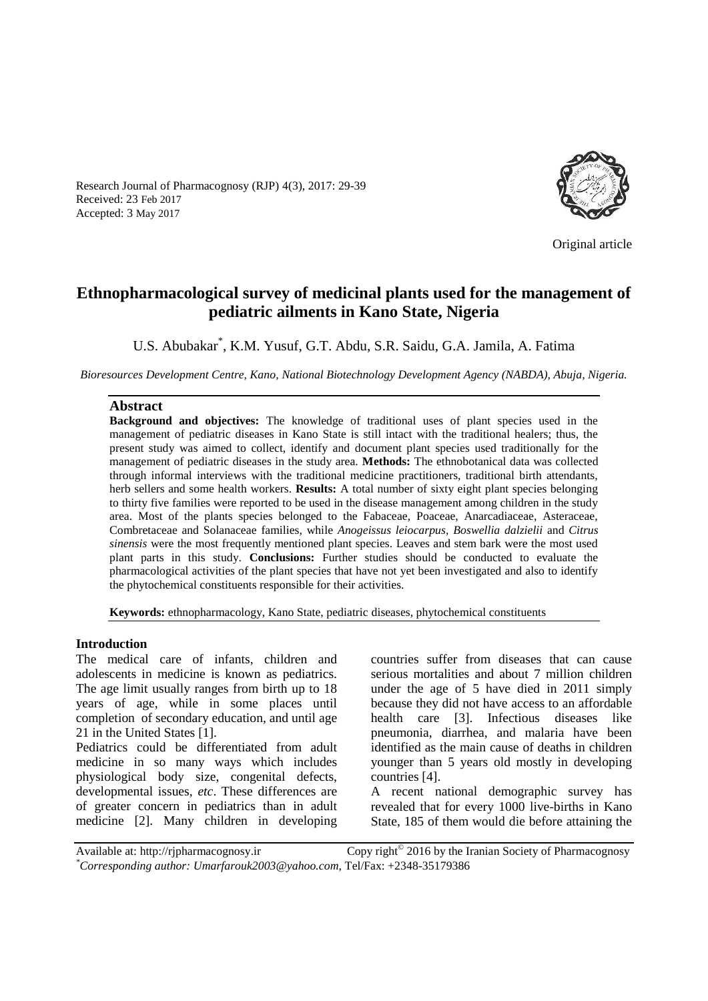Research Journal of Pharmacognosy (RJP) 4(3), 2017: 29-39 Received: 23 Feb 2017 Accepted: 3 May 2017



Original article

# **Ethnopharmacological survey of medicinal plants used for the management of pediatric ailments in Kano State, Nigeria**

U.S. Abubakar\* , K.M. Yusuf, G.T. Abdu, S.R. Saidu, G.A. Jamila, A. Fatima

*Bioresources Development Centre, Kano, National Biotechnology Development Agency (NABDA), Abuja, Nigeria.*

#### **Abstract**

**Background and objectives:** The knowledge of traditional uses of plant species used in the management of pediatric diseases in Kano State is still intact with the traditional healers; thus, the present study was aimed to collect, identify and document plant species used traditionally for the management of pediatric diseases in the study area. **Methods:** The ethnobotanical data was collected through informal interviews with the traditional medicine practitioners, traditional birth attendants, herb sellers and some health workers. **Results:** A total number of sixty eight plant species belonging to thirty five families were reported to be used in the disease management among children in the study area. Most of the plants species belonged to the Fabaceae, Poaceae, Anarcadiaceae, Asteraceae, Combretaceae and Solanaceae families, while *Anogeissus leiocarpus*, *Boswellia dalzielii* and *Citrus sinensis* were the most frequently mentioned plant species. Leaves and stem bark were the most used plant parts in this study. **Conclusions:** Further studies should be conducted to evaluate the pharmacological activities of the plant species that have not yet been investigated and also to identify the phytochemical constituents responsible for their activities.

**Keywords:** ethnopharmacology, Kano State, pediatric diseases, phytochemical constituents

#### **Introduction**

The medical care of infants, children and adolescents in medicine is known as pediatrics. The age limit usually ranges from birth up to 18 years of age, while in some places until completion of secondary education, and until age 21 in the United States [1].

Pediatrics could be differentiated from adult medicine in so many ways which includes physiological body size, congenital defects, developmental issues, *etc*. These differences are of greater concern in pediatrics than in adult medicine [2]. Many children in developing

countries suffer from diseases that can cause serious mortalities and about 7 million children under the age of 5 have died in 2011 simply because they did not have access to an affordable health care [3]. Infectious diseases like pneumonia, diarrhea, and malaria have been identified as the main cause of deaths in children younger than 5 years old mostly in developing countries [4].

A recent national demographic survey has revealed that for every 1000 live-births in Kano State, 185 of them would die before attaining the

Available at: http://rjpharmacognosy.ir Copy right<sup>®</sup> 2016 by the Iranian Society of Pharmacognosy *\*Corresponding author: Umarfarouk2003@yahoo.com,* Tel/Fax: +2348-35179386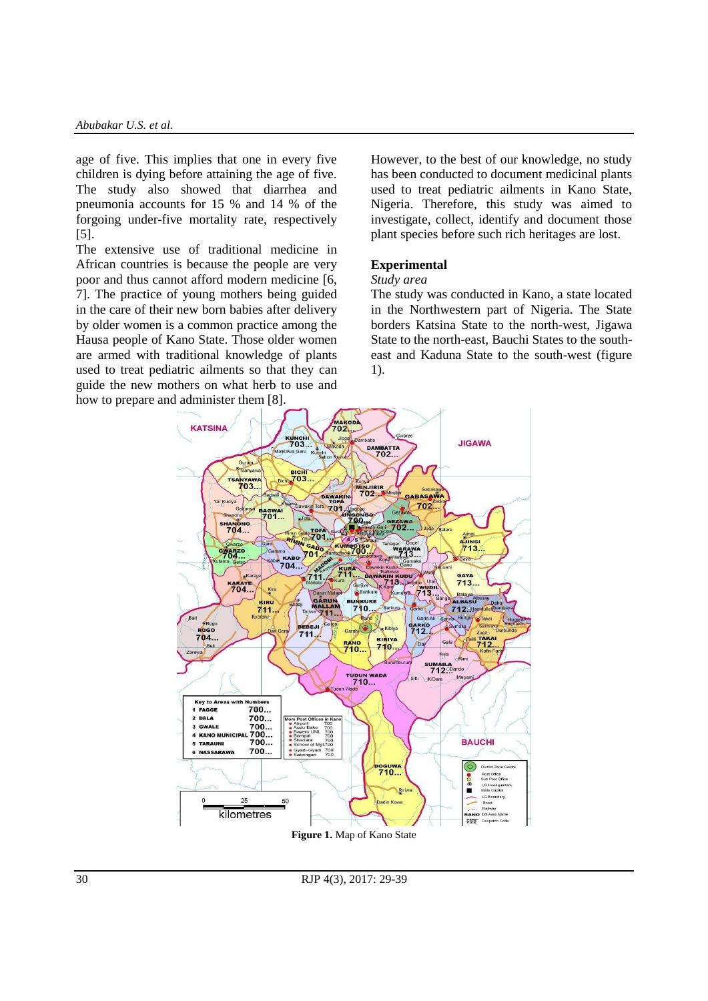age of five. This implies that one in every five children is dying before attaining the age of five. The study also showed that diarrhea and pneumonia accounts for 15 % and 14 % of the forgoing under-five mortality rate, respectively [5].

The extensive use of traditional medicine in African countries is because the people are very poor and thus cannot afford modern medicine [6, 7]. The practice of young mothers being guided in the care of their new born babies after delivery by older women is a common practice among the Hausa people of Kano State. Those older women are armed with traditional knowledge of plants used to treat pediatric ailments so that they can guide the new mothers on what herb to use and how to prepare and administer them [8].

However, to the best of our knowledge, no study has been conducted to document medicinal plants used to treat pediatric ailments in Kano State, Nigeria. Therefore, this study was aimed to investigate, collect, identify and document those plant species before such rich heritages are lost.

#### **Experimental**

## *Study area*

The study was conducted in Kano, a state located in the Northwestern part of Nigeria. The State borders Katsina State to the north-west, Jigawa State to the north-east, Bauchi States to the southeast and Kaduna State to the south-west (figure 1).



**Figure 1.** Map of Kano State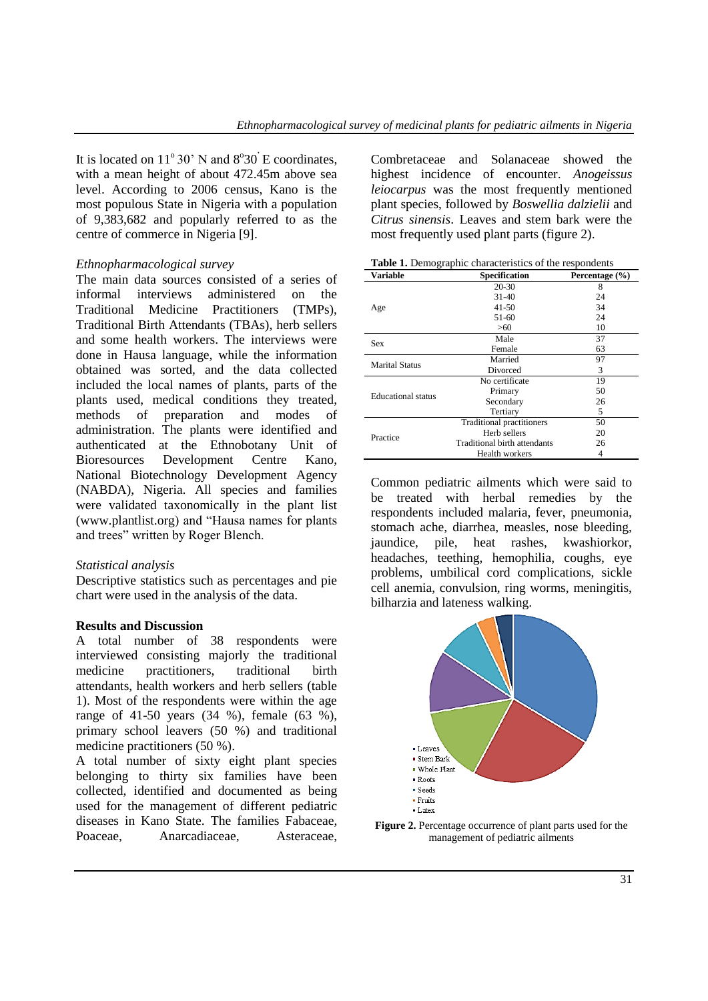It is located on  $11^{\circ}30'$  N and  $8^{\circ}30'$  E coordinates, with a mean height of about 472.45m above sea level. According to 2006 census, Kano is the most populous State in Nigeria with a population of 9,383,682 and popularly referred to as the centre of commerce in Nigeria [9].

### *Ethnopharmacological survey*

The main data sources consisted of a series of informal interviews administered on the Traditional Medicine Practitioners (TMPs), Traditional Birth Attendants (TBAs), herb sellers and some health workers. The interviews were done in Hausa language, while the information obtained was sorted, and the data collected included the local names of plants, parts of the plants used, medical conditions they treated, methods of preparation and modes of administration. The plants were identified and authenticated at the Ethnobotany Unit of Bioresources Development Centre Kano, National Biotechnology Development Agency (NABDA), Nigeria. All species and families were validated taxonomically in the plant list (www.plantlist.org) and "Hausa names for plants and trees" written by Roger Blench.

### *Statistical analysis*

Descriptive statistics such as percentages and pie chart were used in the analysis of the data.

#### **Results and Discussion**

A total number of 38 respondents were interviewed consisting majorly the traditional medicine practitioners, traditional birth attendants, health workers and herb sellers (table 1). Most of the respondents were within the age range of 41-50 years (34 %), female (63 %), primary school leavers (50 %) and traditional medicine practitioners (50 %).

A total number of sixty eight plant species belonging to thirty six families have been collected, identified and documented as being used for the management of different pediatric diseases in Kano State. The families Fabaceae, Poaceae, Anarcadiaceae, Asteraceae, Combretaceae and Solanaceae showed the highest incidence of encounter. *Anogeissus leiocarpus* was the most frequently mentioned plant species, followed by *Boswellia dalzielii* and *Citrus sinensis*. Leaves and stem bark were the most frequently used plant parts (figure 2).

|  | Table 1. Demographic characteristics of the respondents |  |
|--|---------------------------------------------------------|--|
|  |                                                         |  |

| <b>Variable</b>           | Specification                | Percentage $(\% )$ |
|---------------------------|------------------------------|--------------------|
|                           | 20-30                        | 8                  |
|                           | $31 - 40$                    | 24                 |
| Age                       | $41 - 50$                    | 34                 |
|                           | 51-60                        | 24                 |
|                           | >60                          | 10                 |
| Sex                       | Male                         | 37                 |
|                           | Female                       | 63                 |
| <b>Marital Status</b>     | Married                      | 97                 |
|                           | Divorced                     | 3                  |
|                           | No certificate               | 19                 |
| <b>Educational</b> status | Primary                      | 50                 |
|                           | Secondary                    | 26                 |
|                           | Tertiary                     | 5                  |
|                           | Traditional practitioners    | 50                 |
| Practice                  | Herb sellers                 | 20                 |
|                           | Traditional birth attendants | 26                 |
|                           | Health workers               | 4                  |

Common pediatric ailments which were said to be treated with herbal remedies by the respondents included malaria, fever, pneumonia, stomach ache, diarrhea, measles, nose bleeding, jaundice, pile, heat rashes, kwashiorkor, headaches, teething, hemophilia, coughs, eye problems, umbilical cord complications, sickle cell anemia, convulsion, ring worms, meningitis, bilharzia and lateness walking.



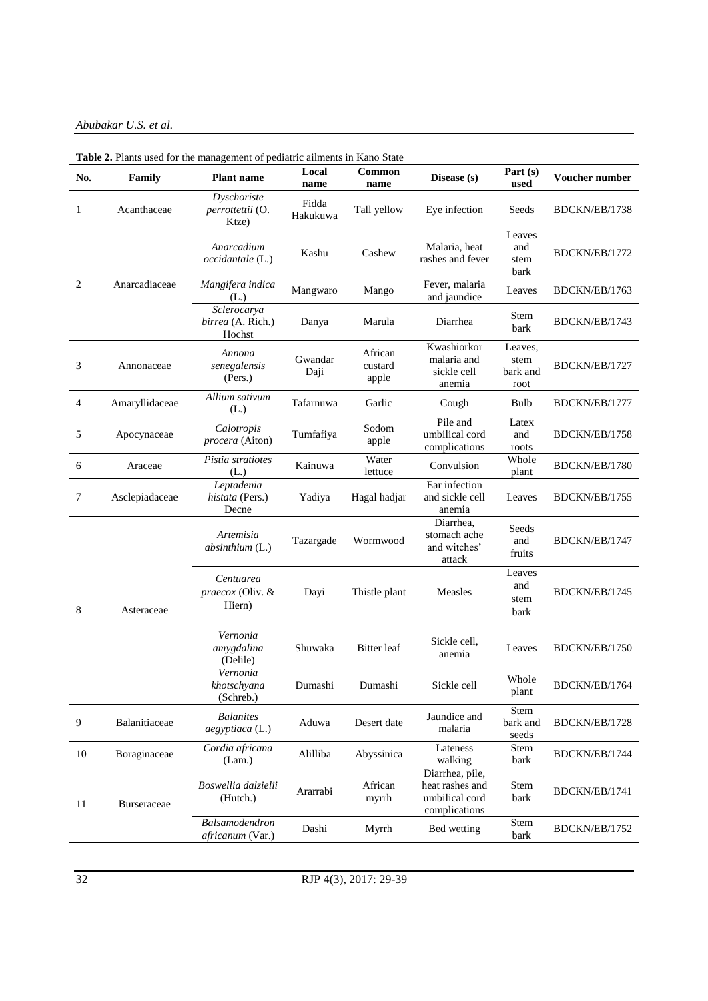*Abubakar U.S. et al.*

| No. | Family         | <b>Plant name</b>                          | Local<br>name     | Common<br>name              | Disease (s)                                                           | Part $(s)$<br>used                  | Voucher number |
|-----|----------------|--------------------------------------------|-------------------|-----------------------------|-----------------------------------------------------------------------|-------------------------------------|----------------|
| 1   | Acanthaceae    | Dyschoriste<br>perrottettii (O.<br>Ktze)   | Fidda<br>Hakukuwa | Tall yellow                 | Eye infection                                                         | Seeds                               | BDCKN/EB/1738  |
|     |                | Anarcadium<br>occidantale (L.)             | Kashu             | Cashew                      | Malaria, heat<br>rashes and fever                                     | Leaves<br>and<br>stem<br>bark       | BDCKN/EB/1772  |
| 2   | Anarcadiaceae  | Mangifera indica<br>(L.)                   | Mangwaro          | Mango                       | Fever, malaria<br>and jaundice                                        | Leaves                              | BDCKN/EB/1763  |
|     |                | Sclerocarya<br>birrea (A. Rich.)<br>Hochst | Danya             | Marula                      | Diarrhea                                                              | Stem<br>bark                        | BDCKN/EB/1743  |
| 3   | Annonaceae     | Annona<br>senegalensis<br>(Pers.)          | Gwandar<br>Daji   | African<br>custard<br>apple | Kwashiorkor<br>malaria and<br>sickle cell<br>anemia                   | Leaves,<br>stem<br>bark and<br>root | BDCKN/EB/1727  |
| 4   | Amaryllidaceae | Allium sativum<br>(L.)                     | Tafarnuwa         | Garlic                      | Cough                                                                 | Bulb                                | BDCKN/EB/1777  |
| 5   | Apocynaceae    | Calotropis<br>procera (Aiton)              | Tumfafiya         | Sodom<br>apple              | Pile and<br>umbilical cord<br>complications                           | Latex<br>and<br>roots               | BDCKN/EB/1758  |
| 6   | Araceae        | Pistia stratiotes<br>(L.)                  | Kainuwa           | Water<br>lettuce            | Convulsion                                                            | Whole<br>plant                      | BDCKN/EB/1780  |
| 7   | Asclepiadaceae | Leptadenia<br>histata (Pers.)<br>Decne     | Yadiya            | Hagal hadjar                | Ear infection<br>and sickle cell<br>anemia                            | Leaves                              | BDCKN/EB/1755  |
|     |                | Artemisia<br>absinthium (L.)               | Tazargade         | Wormwood                    | Diarrhea,<br>stomach ache<br>and witches'<br>attack                   | Seeds<br>and<br>fruits              | BDCKN/EB/1747  |
| 8   | Asteraceae     | Centuarea<br>praecox (Oliv. &<br>Hiern)    | Dayi              | Thistle plant               | Measles                                                               | Leaves<br>and<br>stem<br>bark       | BDCKN/EB/1745  |
|     |                | Vernonia<br>amygdalina<br>(Delile)         | Shuwaka           | <b>Bitter</b> leaf          | Sickle cell,<br>anemia                                                | Leaves                              | BDCKN/EB/1750  |
|     |                | Vernonia<br>khotschyana<br>(Schreb.)       | Dumashi           | Dumashi                     | Sickle cell                                                           | Whole<br>plant                      | BDCKN/EB/1764  |
| 9   | Balanitiaceae  | <b>Balanites</b><br>aegyptiaca (L.)        | Aduwa             | Desert date                 | Jaundice and<br>malaria                                               | Stem<br>bark and<br>seeds           | BDCKN/EB/1728  |
| 10  | Boraginaceae   | Cordia africana<br>(Lam.)                  | Alilliba          | Abyssinica                  | Lateness<br>walking                                                   | Stem<br>bark                        | BDCKN/EB/1744  |
| 11  | Burseraceae    | Boswellia dalzielii<br>(Hutch.)            | Ararrabi          | African<br>myrrh            | Diarrhea, pile,<br>heat rashes and<br>umbilical cord<br>complications | Stem<br>bark                        | BDCKN/EB/1741  |
|     |                | Balsamodendron<br>africanum (Var.)         | Dashi             | Myrrh                       | Bed wetting                                                           | Stem<br>bark                        | BDCKN/EB/1752  |

**Table 2.** Plants used for the management of pediatric ailments in Kano State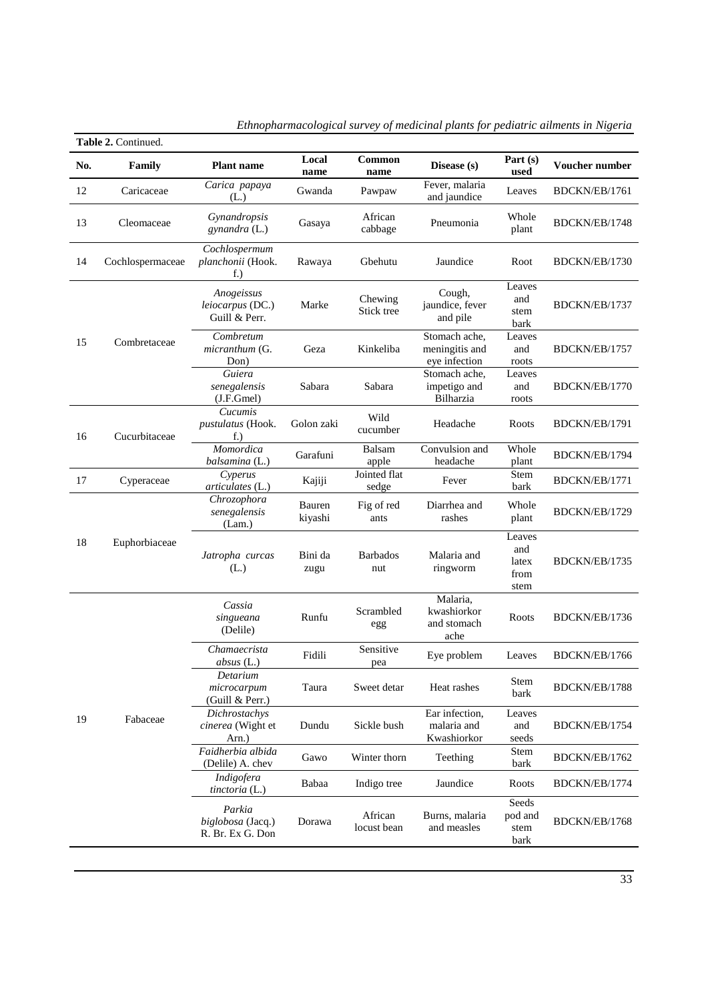|     | Table 2. Continued. |                                                 |                   |                        |                                                  |                                        |                |
|-----|---------------------|-------------------------------------------------|-------------------|------------------------|--------------------------------------------------|----------------------------------------|----------------|
| No. | <b>Family</b>       | <b>Plant name</b>                               | Local<br>name     | Common<br>name         | Disease (s)                                      | Part (s)<br>used                       | Voucher number |
| 12  | Caricaceae          | Carica papaya<br>(L.)                           | Gwanda            | Pawpaw                 | Fever, malaria<br>and jaundice                   | Leaves                                 | BDCKN/EB/1761  |
| 13  | Cleomaceae          | Gynandropsis<br>gynandra (L.)                   | Gasaya            | African<br>cabbage     | Pneumonia                                        | Whole<br>plant                         | BDCKN/EB/1748  |
| 14  | Cochlospermaceae    | Cochlospermum<br>planchonii (Hook.<br>f.)       | Rawaya            | Gbehutu                | Jaundice                                         | Root                                   | BDCKN/EB/1730  |
|     |                     | Anogeissus<br>leiocarpus (DC.)<br>Guill & Perr. | Marke             | Chewing<br>Stick tree  | Cough,<br>jaundice, fever<br>and pile            | Leaves<br>and<br>stem<br>bark          | BDCKN/EB/1737  |
| 15  | Combretaceae        | Combretum<br>micranthum (G.<br>Don)             | Geza              | Kinkeliba              | Stomach ache,<br>meningitis and<br>eye infection | Leaves<br>and<br>roots                 | BDCKN/EB/1757  |
|     |                     | Guiera<br>senegalensis<br>(J.F.Gmel)            | Sabara            | Sabara                 | Stomach ache.<br>impetigo and<br>Bilharzia       | Leaves<br>and<br>roots                 | BDCKN/EB/1770  |
| 16  | Cucurbitaceae       | Cucumis<br>pustulatus (Hook.<br>$f$ .           | Golon zaki        | Wild<br>cucumber       | Headache                                         | Roots                                  | BDCKN/EB/1791  |
|     |                     | Momordica<br>balsamina (L.)                     | Garafuni          | Balsam<br>apple        | Convulsion and<br>headache                       | Whole<br>plant                         | BDCKN/EB/1794  |
| 17  | Cyperaceae          | Cyperus<br>articulates (L.)                     | Kajiji            | Jointed flat<br>sedge  | Fever                                            | Stem<br>bark                           | BDCKN/EB/1771  |
|     |                     | Chrozophora<br>senegalensis<br>(Lam.)           | Bauren<br>kiyashi | Fig of red<br>ants     | Diarrhea and<br>rashes                           | Whole<br>plant                         | BDCKN/EB/1729  |
| 18  | Euphorbiaceae       | Jatropha curcas<br>(L.)                         | Bini da<br>zugu   | <b>Barbados</b><br>nut | Malaria and<br>ringworm                          | Leaves<br>and<br>latex<br>from<br>stem | BDCKN/EB/1735  |
|     |                     | Cassia<br>singueana<br>(Delile)                 | Runfu             | Scrambled<br>egg       | Malaria,<br>kwashiorkor<br>and stomach<br>ache   | Roots                                  | BDCKN/EB/1736  |
|     |                     | Chamaecrista<br>$absus$ (L.)                    | Fidili            | Sensitive<br>pea       | Eye problem                                      | Leaves                                 | BDCKN/EB/1766  |
|     |                     | Detarium<br>microcarpum<br>(Guill & Perr.)      | Taura             | Sweet detar            | Heat rashes                                      | Stem<br>bark                           | BDCKN/EB/1788  |
| 19  | Fabaceae            | Dichrostachys<br>cinerea (Wight et<br>Arn.)     | Dundu             | Sickle bush            | Ear infection,<br>malaria and<br>Kwashiorkor     | Leaves<br>and<br>seeds                 | BDCKN/EB/1754  |
|     |                     | Faidherbia albida<br>(Delile) A. chev           | Gawo              | Winter thorn           | Teething                                         | Stem<br>bark                           | BDCKN/EB/1762  |
|     |                     | Indigofera<br>tinctoria (L.)                    | Babaa             | Indigo tree            | Jaundice                                         | Roots                                  | BDCKN/EB/1774  |
|     |                     | Parkia<br>biglobosa (Jacq.)<br>R. Br. Ex G. Don | Dorawa            | African<br>locust bean | Burns, malaria<br>and measles                    | Seeds<br>pod and<br>stem<br>bark       | BDCKN/EB/1768  |

| Ethnopharmacological survey of medicinal plants for pediatric ailments in Nigeria |  |  |  |
|-----------------------------------------------------------------------------------|--|--|--|
|                                                                                   |  |  |  |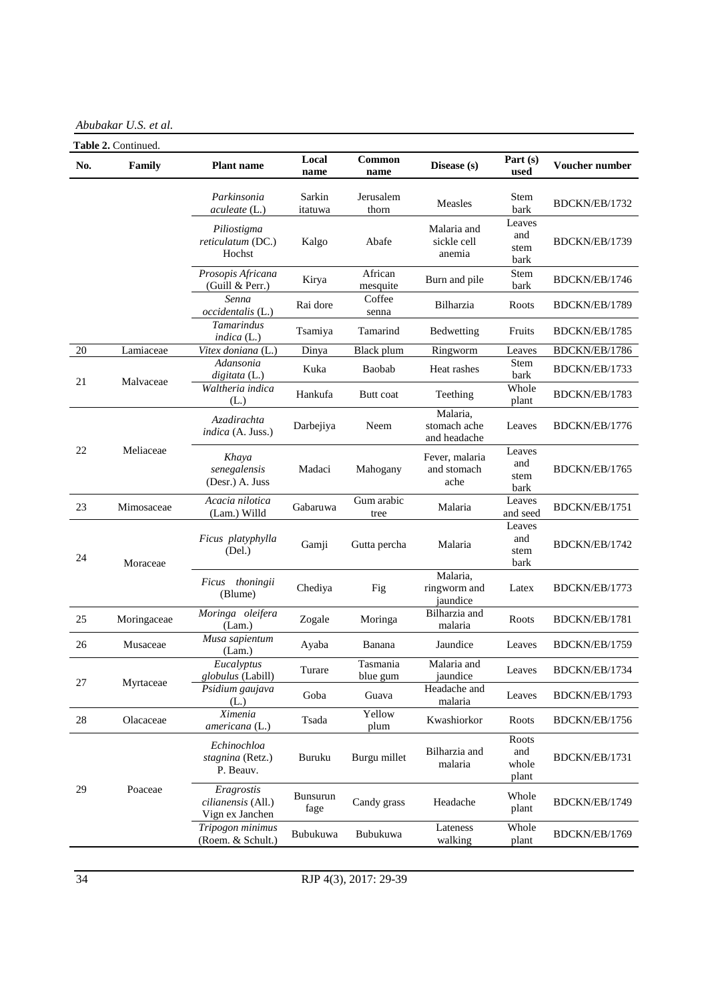*Abubakar U.S. et al.*

| No.    | Table 2. Continued.<br>Family | <b>Plant name</b>                                   | Local<br>name     | Common<br>name       | Disease (s)                              | Part $(s)$<br>used             | Voucher number |
|--------|-------------------------------|-----------------------------------------------------|-------------------|----------------------|------------------------------------------|--------------------------------|----------------|
|        |                               | Parkinsonia<br>aculeate (L.)                        | Sarkin<br>itatuwa | Jerusalem<br>thorn   | Measles                                  | Stem<br>bark                   | BDCKN/EB/1732  |
|        |                               | Piliostigma<br>reticulatum (DC.)<br>Hochst          | Kalgo             | Abafe                | Malaria and<br>sickle cell<br>anemia     | Leaves<br>and<br>stem<br>bark  | BDCKN/EB/1739  |
|        |                               | Prosopis Africana<br>(Guill & Perr.)                | Kirya             | African<br>mesquite  | Burn and pile                            | Stem<br>bark                   | BDCKN/EB/1746  |
|        |                               | Senna<br>occidentalis (L.)                          | Rai dore          | Coffee<br>senna      | Bilharzia                                | Roots                          | BDCKN/EB/1789  |
|        |                               | Tamarindus<br>indica $(L.)$                         | Tsamiya           | Tamarind             | Bedwetting                               | Fruits                         | BDCKN/EB/1785  |
| 20     | Lamiaceae                     | Vitex doniana (L.)                                  | Dinya             | Black plum           | Ringworm                                 | Leaves                         | BDCKN/EB/1786  |
| 21     |                               | Adansonia<br>digitata (L.)                          | Kuka              | Baobab               | Heat rashes                              | Stem<br>bark                   | BDCKN/EB/1733  |
|        | Malvaceae                     | Waltheria indica<br>(L.)                            | Hankufa           | Butt coat            | Teething                                 | Whole<br>plant                 | BDCKN/EB/1783  |
|        |                               | Azadirachta<br>indica (A. Juss.)                    | Darbejiya         | Neem                 | Malaria,<br>stomach ache<br>and headache | Leaves                         | BDCKN/EB/1776  |
| 22     | Meliaceae                     | Khaya<br>senegalensis<br>(Desr.) A. Juss            | Madaci            | Mahogany             | Fever, malaria<br>and stomach<br>ache    | Leaves<br>and<br>stem<br>bark  | BDCKN/EB/1765  |
| 23     | Mimosaceae                    | Acacia nilotica<br>(Lam.) Willd                     | Gabaruwa          | Gum arabic<br>tree   | Malaria                                  | Leaves<br>and seed             | BDCKN/EB/1751  |
| 24     | Moraceae                      | Ficus platyphylla<br>(Del.)                         | Gamji             | Gutta percha         | Malaria                                  | Leaves<br>and<br>stem<br>bark  | BDCKN/EB/1742  |
|        |                               | Ficus thoningii<br>(Blume)                          | Chediya           | Fig                  | Malaria,<br>ringworm and<br>jaundice     | Latex                          | BDCKN/EB/1773  |
| 25     | Moringaceae                   | Moringa oleifera<br>(Lam.)                          | Zogale            | Moringa              | Bilharzia and<br>malaria                 | Roots                          | BDCKN/EB/1781  |
| 26     | Musaceae                      | Musa sapientum<br>(Lam.)                            | Ayaba             | Banana               | Jaundice                                 | Leaves                         | BDCKN/EB/1759  |
| 27     | Myrtaceae                     | Eucalyptus<br>globulus (Labill)                     | Turare            | Tasmania<br>blue gum | Malaria and<br>jaundice                  | Leaves                         | BDCKN/EB/1734  |
|        |                               | Psidium gaujava<br>(L.)                             | Goba              | Guava                | Headache and<br>malaria                  | Leaves                         | BDCKN/EB/1793  |
| $28\,$ | Olacaceae                     | $\overline{X}$ imenia<br>americana (L.)             | Tsada             | Yellow<br>plum       | Kwashiorkor                              | Roots                          | BDCKN/EB/1756  |
| 29     |                               | Echinochloa<br>stagnina (Retz.)<br>P. Beauv.        | Buruku            | Burgu millet         | Bilharzia and<br>malaria                 | Roots<br>and<br>whole<br>plant | BDCKN/EB/1731  |
|        | Poaceae                       | Eragrostis<br>cilianensis (All.)<br>Vign ex Janchen | Bunsurun<br>fage  | Candy grass          | Headache                                 | Whole<br>plant                 | BDCKN/EB/1749  |
|        |                               | Tripogon minimus<br>(Roem. & Schult.)               | Bubukuwa          | Bubukuwa             | Lateness<br>walking                      | Whole<br>plant                 | BDCKN/EB/1769  |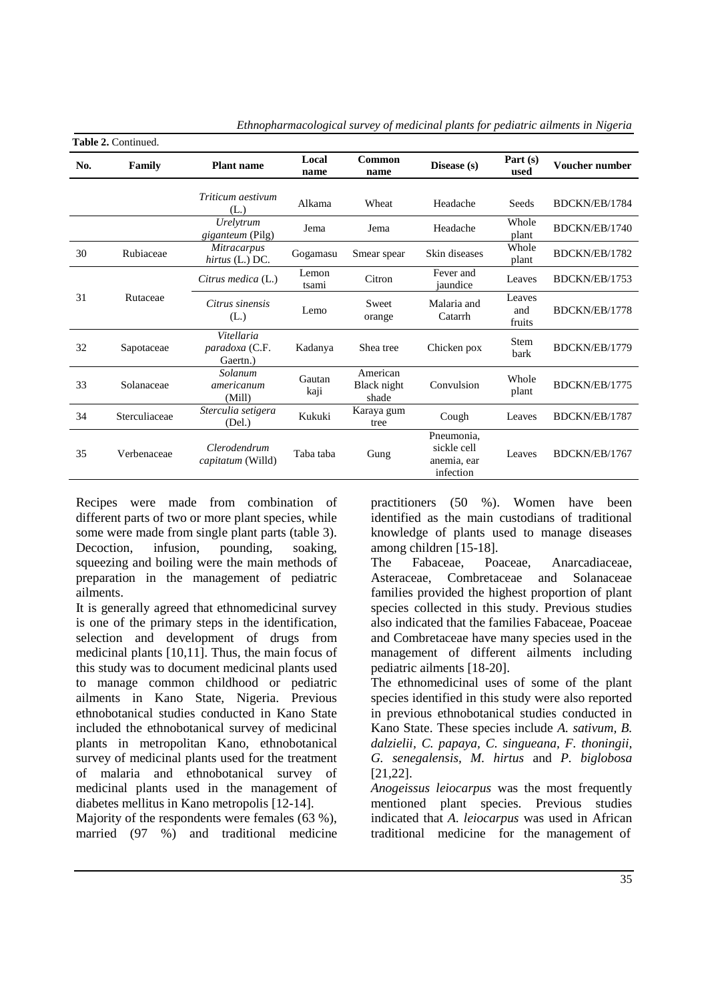|     | Table 2. Continued. |                                          |                |                                  |                                                       |                         |                |
|-----|---------------------|------------------------------------------|----------------|----------------------------------|-------------------------------------------------------|-------------------------|----------------|
| No. | Family              | <b>Plant name</b>                        | Local<br>name  | Common<br>name                   | Disease (s)                                           | Part $(s)$<br>used      | Voucher number |
|     |                     | Triticum aestivum<br>(L.)                | Alkama         | Wheat                            | Headache                                              | Seeds                   | BDCKN/EB/1784  |
|     |                     | Urelytrum<br><i>giganteum</i> (Pilg)     | Jema           | Jema                             | Headache                                              | Whole<br>plant          | BDCKN/EB/1740  |
| 30  | Rubiaceae           | <i>Mitracarpus</i><br>hirtus (L.) DC.    | Gogamasu       | Smear spear                      | Skin diseases                                         | Whole<br>plant          | BDCKN/EB/1782  |
|     |                     | Citrus medica (L.)                       | Lemon<br>tsami | Citron                           | Fever and<br>iaundice                                 | Leaves                  | BDCKN/EB/1753  |
| 31  | Rutaceae            | Citrus sinensis<br>(L.)                  | Lemo           | Sweet<br>orange                  | Malaria and<br>Catarrh                                | Leaves<br>and<br>fruits | BDCKN/EB/1778  |
| 32  | Sapotaceae          | Vitellaria<br>paradoxa (C.F.<br>Gaertn.) | Kadanya        | Shea tree                        | Chicken pox                                           | Stem<br>bark            | BDCKN/EB/1779  |
| 33  | Solanaceae          | Solanum<br>americanum<br>(Mill)          | Gautan<br>kaji | American<br>Black night<br>shade | Convulsion                                            | Whole<br>plant          | BDCKN/EB/1775  |
| 34  | Sterculiaceae       | Sterculia setigera<br>(Del.)             | Kukuki         | Karaya gum<br>tree               | Cough                                                 | Leaves                  | BDCKN/EB/1787  |
| 35  | Verbenaceae         | Clerodendrum<br><i>capitatum</i> (Willd) | Taba taba      | Gung                             | Pneumonia.<br>sickle cell<br>anemia, ear<br>infection | Leaves                  | BDCKN/EB/1767  |

*Ethnopharmacological survey of medicinal plants for pediatric ailments in Nigeria*

Recipes were made from combination of different parts of two or more plant species, while some were made from single plant parts (table 3). Decoction, infusion, pounding, soaking, squeezing and boiling were the main methods of preparation in the management of pediatric ailments.

It is generally agreed that ethnomedicinal survey is one of the primary steps in the identification, selection and development of drugs from medicinal plants [10,11]. Thus, the main focus of this study was to document medicinal plants used to manage common childhood or pediatric ailments in Kano State, Nigeria. Previous ethnobotanical studies conducted in Kano State included the ethnobotanical survey of medicinal plants in metropolitan Kano, ethnobotanical survey of medicinal plants used for the treatment of malaria and ethnobotanical survey of medicinal plants used in the management of diabetes mellitus in Kano metropolis [12-14].

Majority of the respondents were females (63 %), married (97 %) and traditional medicine

practitioners (50 %). Women have been identified as the main custodians of traditional knowledge of plants used to manage diseases among children [15-18].

The Fabaceae, Poaceae, Anarcadiaceae, Asteraceae, Combretaceae and Solanaceae families provided the highest proportion of plant species collected in this study. Previous studies also indicated that the families Fabaceae, Poaceae and Combretaceae have many species used in the management of different ailments including pediatric ailments [18-20].

The ethnomedicinal uses of some of the plant species identified in this study were also reported in previous ethnobotanical studies conducted in Kano State. These species include *A. sativum, B. dalzielii, C. papaya, C. singueana, F. thoningii, G. senegalensis, M. hirtus* and *P. biglobosa*  [21,22].

*Anogeissus leiocarpus* was the most frequently mentioned plant species. Previous studies indicated that *A. leiocarpus* was used in African traditional medicine for the management of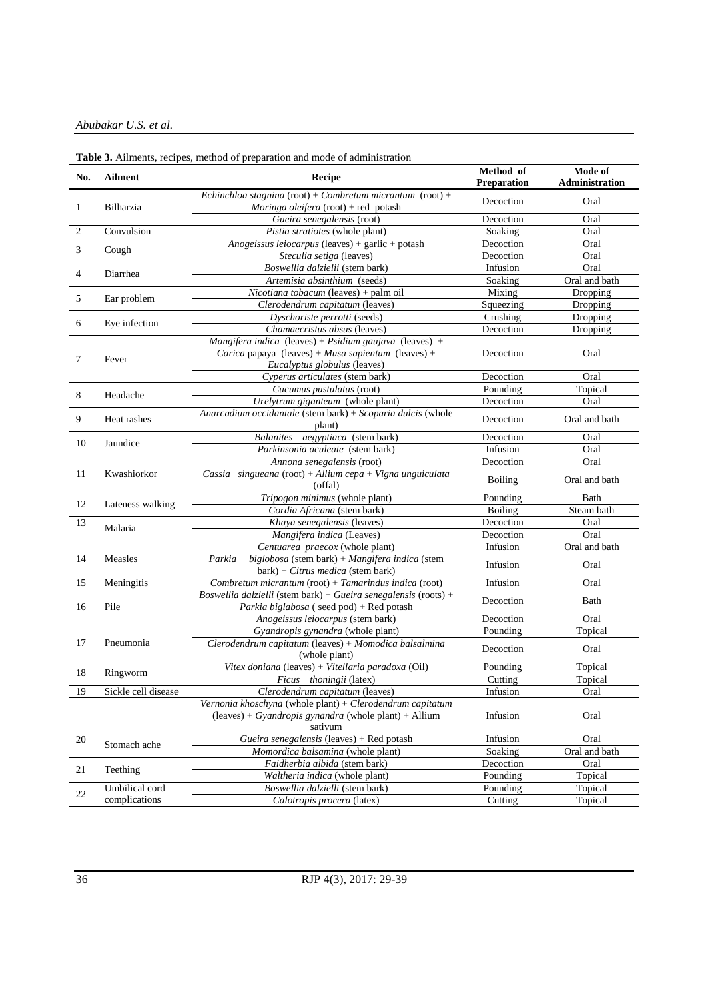*Abubakar U.S. et al.*

| Echinchloa stagnina (root) + Combretum micrantum (root) +<br>Decoction<br>Oral<br>Moringa oleifera (root) + red potash<br>Bilharzia<br>1<br>Gueira senegalensis (root)<br>Decoction<br>Oral<br>Convulsion<br>2<br>Pistia stratiotes (whole plant)<br>Soaking<br>Oral<br>Anogeissus leiocarpus (leaves) + garlic + potash<br>Decoction<br>Oral<br>3<br>Cough<br>Steculia setiga (leaves)<br>Decoction<br>Oral<br>Boswellia dalzielii (stem bark)<br>Infusion<br>Oral<br>Diarrhea<br>4<br>Artemisia absinthium (seeds)<br>Soaking<br>Oral and bath<br>Nicotiana tobacum (leaves) + palm oil<br>Mixing<br>Dropping<br>5<br>Ear problem<br>Clerodendrum capitatum (leaves)<br>Squeezing<br>Dropping<br>Dyschoriste perrotti (seeds)<br>Crushing<br>Dropping<br>Eye infection<br>6<br>Decoction<br>Dropping<br>Chamaecristus absus (leaves)<br>Mangifera indica (leaves) + Psidium gaujava (leaves) +<br>Carica papaya (leaves) + Musa sapientum (leaves) +<br>Decoction<br>Oral<br>Fever<br>7<br>Eucalyptus globulus (leaves)<br>Cyperus articulates (stem bark)<br>Oral<br>Decoction<br>Pounding<br>Topical<br>Cucumus pustulatus (root)<br>8<br>Headache<br>Decoction<br>Oral<br>Urelytrum giganteum (whole plant)<br>Anarcadium occidantale (stem bark) + Scoparia dulcis (whole<br>9<br>Heat rashes<br>Decoction<br>Oral and bath<br>plant)<br><b>Balanites</b><br>aegyptiaca (stem bark)<br>Decoction<br>Oral<br>10<br>Jaundice<br>Parkinsonia aculeate (stem bark)<br>Infusion<br>Oral<br>Decoction<br>Annona senegalensis (root)<br>Oral<br>Kwashiorkor<br>Cassia singueana (root) + Allium cepa + Vigna unguiculata<br>11<br><b>Boiling</b><br>Oral and bath<br>(offal)<br>Tripogon minimus (whole plant)<br>Pounding<br>Bath<br>12<br>Lateness walking<br>Cordia Africana (stem bark)<br>Boiling<br>Steam bath<br>13<br>Khaya senegalensis (leaves)<br>Decoction<br>Oral<br>Malaria<br>Mangifera indica (Leaves)<br>Decoction<br>Oral<br>Infusion<br>Oral and bath<br>Centuarea praecox (whole plant)<br>14<br>Measles<br>biglobosa (stem bark) + Mangifera indica (stem<br>Parkia<br>Infusion<br>Oral<br>bark) + Citrus medica (stem bark)<br>Meningitis<br>Combretum micrantum (root) + Tamarindus indica (root)<br>Infusion<br>15<br>Oral<br>Boswellia dalzielli (stem bark) + Gueira senegalensis (roots) +<br>Decoction<br>Bath<br>Pile<br>16<br><i>Parkia biglabosa</i> (seed pod) + Red potash<br>Anogeissus leiocarpus (stem bark)<br>Decoction<br>Oral<br>Pounding<br>Gyandropis gynandra (whole plant)<br>Topical<br>Clerodendrum capitatum (leaves) + Momodica balsalmina<br>17<br>Pneumonia<br>Decoction<br>Oral<br>(whole plant)<br>Vitex doniana (leaves) + Vitellaria paradoxa (Oil)<br>Pounding<br>Topical<br>18<br>Ringworm<br>Topical<br>Ficus thoningii (latex)<br>Cutting<br>19<br>Sickle cell disease<br>Infusion<br>Oral<br>Clerodendrum capitatum (leaves)<br>Vernonia khoschyna (whole plant) + Clerodendrum capitatum<br>$(leaves) + Gyandropis gynandra (whole plant) + Allium$<br>Infusion<br>Oral<br>sativum<br>Gueira senegalensis (leaves) + Red potash<br>Infusion<br>20<br>Oral<br>Stomach ache<br>Momordica balsamina (whole plant)<br>Soaking<br>Oral and bath<br>Faidherbia albida (stem bark)<br>Decoction<br>Oral<br>21<br>Teething<br>Waltheria indica (whole plant)<br>Pounding<br>Topical<br>Boswellia dalzielli (stem bark)<br>Pounding<br>Umbilical cord<br>Topical<br>22<br>Calotropis procera (latex)<br>Cutting<br>Topical<br>complications | No. | <b>Ailment</b> | <b>ratic 3.</b> Allingius, recipes, include or preparation and mode or administration<br>Recipe | Method of<br><b>Preparation</b> | Mode of<br>Administration |
|-----------------------------------------------------------------------------------------------------------------------------------------------------------------------------------------------------------------------------------------------------------------------------------------------------------------------------------------------------------------------------------------------------------------------------------------------------------------------------------------------------------------------------------------------------------------------------------------------------------------------------------------------------------------------------------------------------------------------------------------------------------------------------------------------------------------------------------------------------------------------------------------------------------------------------------------------------------------------------------------------------------------------------------------------------------------------------------------------------------------------------------------------------------------------------------------------------------------------------------------------------------------------------------------------------------------------------------------------------------------------------------------------------------------------------------------------------------------------------------------------------------------------------------------------------------------------------------------------------------------------------------------------------------------------------------------------------------------------------------------------------------------------------------------------------------------------------------------------------------------------------------------------------------------------------------------------------------------------------------------------------------------------------------------------------------------------------------------------------------------------------------------------------------------------------------------------------------------------------------------------------------------------------------------------------------------------------------------------------------------------------------------------------------------------------------------------------------------------------------------------------------------------------------------------------------------------------------------------------------------------------------------------------------------------------------------------------------------------------------------------------------------------------------------------------------------------------------------------------------------------------------------------------------------------------------------------------------------------------------------------------------------------------------------------------------------------------------------------------------------------------------------------------------------------------------------------------------------------------------------------------------------------------------------------------------------------------------------------------------------------------------------------------------------------------------------------------------------------------------------------|-----|----------------|-------------------------------------------------------------------------------------------------|---------------------------------|---------------------------|
|                                                                                                                                                                                                                                                                                                                                                                                                                                                                                                                                                                                                                                                                                                                                                                                                                                                                                                                                                                                                                                                                                                                                                                                                                                                                                                                                                                                                                                                                                                                                                                                                                                                                                                                                                                                                                                                                                                                                                                                                                                                                                                                                                                                                                                                                                                                                                                                                                                                                                                                                                                                                                                                                                                                                                                                                                                                                                                                                                                                                                                                                                                                                                                                                                                                                                                                                                                                                                                                                                               |     |                |                                                                                                 |                                 |                           |
|                                                                                                                                                                                                                                                                                                                                                                                                                                                                                                                                                                                                                                                                                                                                                                                                                                                                                                                                                                                                                                                                                                                                                                                                                                                                                                                                                                                                                                                                                                                                                                                                                                                                                                                                                                                                                                                                                                                                                                                                                                                                                                                                                                                                                                                                                                                                                                                                                                                                                                                                                                                                                                                                                                                                                                                                                                                                                                                                                                                                                                                                                                                                                                                                                                                                                                                                                                                                                                                                                               |     |                |                                                                                                 |                                 |                           |
|                                                                                                                                                                                                                                                                                                                                                                                                                                                                                                                                                                                                                                                                                                                                                                                                                                                                                                                                                                                                                                                                                                                                                                                                                                                                                                                                                                                                                                                                                                                                                                                                                                                                                                                                                                                                                                                                                                                                                                                                                                                                                                                                                                                                                                                                                                                                                                                                                                                                                                                                                                                                                                                                                                                                                                                                                                                                                                                                                                                                                                                                                                                                                                                                                                                                                                                                                                                                                                                                                               |     |                |                                                                                                 |                                 |                           |
|                                                                                                                                                                                                                                                                                                                                                                                                                                                                                                                                                                                                                                                                                                                                                                                                                                                                                                                                                                                                                                                                                                                                                                                                                                                                                                                                                                                                                                                                                                                                                                                                                                                                                                                                                                                                                                                                                                                                                                                                                                                                                                                                                                                                                                                                                                                                                                                                                                                                                                                                                                                                                                                                                                                                                                                                                                                                                                                                                                                                                                                                                                                                                                                                                                                                                                                                                                                                                                                                                               |     |                |                                                                                                 |                                 |                           |
|                                                                                                                                                                                                                                                                                                                                                                                                                                                                                                                                                                                                                                                                                                                                                                                                                                                                                                                                                                                                                                                                                                                                                                                                                                                                                                                                                                                                                                                                                                                                                                                                                                                                                                                                                                                                                                                                                                                                                                                                                                                                                                                                                                                                                                                                                                                                                                                                                                                                                                                                                                                                                                                                                                                                                                                                                                                                                                                                                                                                                                                                                                                                                                                                                                                                                                                                                                                                                                                                                               |     |                |                                                                                                 |                                 |                           |
|                                                                                                                                                                                                                                                                                                                                                                                                                                                                                                                                                                                                                                                                                                                                                                                                                                                                                                                                                                                                                                                                                                                                                                                                                                                                                                                                                                                                                                                                                                                                                                                                                                                                                                                                                                                                                                                                                                                                                                                                                                                                                                                                                                                                                                                                                                                                                                                                                                                                                                                                                                                                                                                                                                                                                                                                                                                                                                                                                                                                                                                                                                                                                                                                                                                                                                                                                                                                                                                                                               |     |                |                                                                                                 |                                 |                           |
|                                                                                                                                                                                                                                                                                                                                                                                                                                                                                                                                                                                                                                                                                                                                                                                                                                                                                                                                                                                                                                                                                                                                                                                                                                                                                                                                                                                                                                                                                                                                                                                                                                                                                                                                                                                                                                                                                                                                                                                                                                                                                                                                                                                                                                                                                                                                                                                                                                                                                                                                                                                                                                                                                                                                                                                                                                                                                                                                                                                                                                                                                                                                                                                                                                                                                                                                                                                                                                                                                               |     |                |                                                                                                 |                                 |                           |
|                                                                                                                                                                                                                                                                                                                                                                                                                                                                                                                                                                                                                                                                                                                                                                                                                                                                                                                                                                                                                                                                                                                                                                                                                                                                                                                                                                                                                                                                                                                                                                                                                                                                                                                                                                                                                                                                                                                                                                                                                                                                                                                                                                                                                                                                                                                                                                                                                                                                                                                                                                                                                                                                                                                                                                                                                                                                                                                                                                                                                                                                                                                                                                                                                                                                                                                                                                                                                                                                                               |     |                |                                                                                                 |                                 |                           |
|                                                                                                                                                                                                                                                                                                                                                                                                                                                                                                                                                                                                                                                                                                                                                                                                                                                                                                                                                                                                                                                                                                                                                                                                                                                                                                                                                                                                                                                                                                                                                                                                                                                                                                                                                                                                                                                                                                                                                                                                                                                                                                                                                                                                                                                                                                                                                                                                                                                                                                                                                                                                                                                                                                                                                                                                                                                                                                                                                                                                                                                                                                                                                                                                                                                                                                                                                                                                                                                                                               |     |                |                                                                                                 |                                 |                           |
|                                                                                                                                                                                                                                                                                                                                                                                                                                                                                                                                                                                                                                                                                                                                                                                                                                                                                                                                                                                                                                                                                                                                                                                                                                                                                                                                                                                                                                                                                                                                                                                                                                                                                                                                                                                                                                                                                                                                                                                                                                                                                                                                                                                                                                                                                                                                                                                                                                                                                                                                                                                                                                                                                                                                                                                                                                                                                                                                                                                                                                                                                                                                                                                                                                                                                                                                                                                                                                                                                               |     |                |                                                                                                 |                                 |                           |
|                                                                                                                                                                                                                                                                                                                                                                                                                                                                                                                                                                                                                                                                                                                                                                                                                                                                                                                                                                                                                                                                                                                                                                                                                                                                                                                                                                                                                                                                                                                                                                                                                                                                                                                                                                                                                                                                                                                                                                                                                                                                                                                                                                                                                                                                                                                                                                                                                                                                                                                                                                                                                                                                                                                                                                                                                                                                                                                                                                                                                                                                                                                                                                                                                                                                                                                                                                                                                                                                                               |     |                |                                                                                                 |                                 |                           |
|                                                                                                                                                                                                                                                                                                                                                                                                                                                                                                                                                                                                                                                                                                                                                                                                                                                                                                                                                                                                                                                                                                                                                                                                                                                                                                                                                                                                                                                                                                                                                                                                                                                                                                                                                                                                                                                                                                                                                                                                                                                                                                                                                                                                                                                                                                                                                                                                                                                                                                                                                                                                                                                                                                                                                                                                                                                                                                                                                                                                                                                                                                                                                                                                                                                                                                                                                                                                                                                                                               |     |                |                                                                                                 |                                 |                           |
|                                                                                                                                                                                                                                                                                                                                                                                                                                                                                                                                                                                                                                                                                                                                                                                                                                                                                                                                                                                                                                                                                                                                                                                                                                                                                                                                                                                                                                                                                                                                                                                                                                                                                                                                                                                                                                                                                                                                                                                                                                                                                                                                                                                                                                                                                                                                                                                                                                                                                                                                                                                                                                                                                                                                                                                                                                                                                                                                                                                                                                                                                                                                                                                                                                                                                                                                                                                                                                                                                               |     |                |                                                                                                 |                                 |                           |
|                                                                                                                                                                                                                                                                                                                                                                                                                                                                                                                                                                                                                                                                                                                                                                                                                                                                                                                                                                                                                                                                                                                                                                                                                                                                                                                                                                                                                                                                                                                                                                                                                                                                                                                                                                                                                                                                                                                                                                                                                                                                                                                                                                                                                                                                                                                                                                                                                                                                                                                                                                                                                                                                                                                                                                                                                                                                                                                                                                                                                                                                                                                                                                                                                                                                                                                                                                                                                                                                                               |     |                |                                                                                                 |                                 |                           |
|                                                                                                                                                                                                                                                                                                                                                                                                                                                                                                                                                                                                                                                                                                                                                                                                                                                                                                                                                                                                                                                                                                                                                                                                                                                                                                                                                                                                                                                                                                                                                                                                                                                                                                                                                                                                                                                                                                                                                                                                                                                                                                                                                                                                                                                                                                                                                                                                                                                                                                                                                                                                                                                                                                                                                                                                                                                                                                                                                                                                                                                                                                                                                                                                                                                                                                                                                                                                                                                                                               |     |                |                                                                                                 |                                 |                           |
|                                                                                                                                                                                                                                                                                                                                                                                                                                                                                                                                                                                                                                                                                                                                                                                                                                                                                                                                                                                                                                                                                                                                                                                                                                                                                                                                                                                                                                                                                                                                                                                                                                                                                                                                                                                                                                                                                                                                                                                                                                                                                                                                                                                                                                                                                                                                                                                                                                                                                                                                                                                                                                                                                                                                                                                                                                                                                                                                                                                                                                                                                                                                                                                                                                                                                                                                                                                                                                                                                               |     |                |                                                                                                 |                                 |                           |
|                                                                                                                                                                                                                                                                                                                                                                                                                                                                                                                                                                                                                                                                                                                                                                                                                                                                                                                                                                                                                                                                                                                                                                                                                                                                                                                                                                                                                                                                                                                                                                                                                                                                                                                                                                                                                                                                                                                                                                                                                                                                                                                                                                                                                                                                                                                                                                                                                                                                                                                                                                                                                                                                                                                                                                                                                                                                                                                                                                                                                                                                                                                                                                                                                                                                                                                                                                                                                                                                                               |     |                |                                                                                                 |                                 |                           |
|                                                                                                                                                                                                                                                                                                                                                                                                                                                                                                                                                                                                                                                                                                                                                                                                                                                                                                                                                                                                                                                                                                                                                                                                                                                                                                                                                                                                                                                                                                                                                                                                                                                                                                                                                                                                                                                                                                                                                                                                                                                                                                                                                                                                                                                                                                                                                                                                                                                                                                                                                                                                                                                                                                                                                                                                                                                                                                                                                                                                                                                                                                                                                                                                                                                                                                                                                                                                                                                                                               |     |                |                                                                                                 |                                 |                           |
|                                                                                                                                                                                                                                                                                                                                                                                                                                                                                                                                                                                                                                                                                                                                                                                                                                                                                                                                                                                                                                                                                                                                                                                                                                                                                                                                                                                                                                                                                                                                                                                                                                                                                                                                                                                                                                                                                                                                                                                                                                                                                                                                                                                                                                                                                                                                                                                                                                                                                                                                                                                                                                                                                                                                                                                                                                                                                                                                                                                                                                                                                                                                                                                                                                                                                                                                                                                                                                                                                               |     |                |                                                                                                 |                                 |                           |
|                                                                                                                                                                                                                                                                                                                                                                                                                                                                                                                                                                                                                                                                                                                                                                                                                                                                                                                                                                                                                                                                                                                                                                                                                                                                                                                                                                                                                                                                                                                                                                                                                                                                                                                                                                                                                                                                                                                                                                                                                                                                                                                                                                                                                                                                                                                                                                                                                                                                                                                                                                                                                                                                                                                                                                                                                                                                                                                                                                                                                                                                                                                                                                                                                                                                                                                                                                                                                                                                                               |     |                |                                                                                                 |                                 |                           |
|                                                                                                                                                                                                                                                                                                                                                                                                                                                                                                                                                                                                                                                                                                                                                                                                                                                                                                                                                                                                                                                                                                                                                                                                                                                                                                                                                                                                                                                                                                                                                                                                                                                                                                                                                                                                                                                                                                                                                                                                                                                                                                                                                                                                                                                                                                                                                                                                                                                                                                                                                                                                                                                                                                                                                                                                                                                                                                                                                                                                                                                                                                                                                                                                                                                                                                                                                                                                                                                                                               |     |                |                                                                                                 |                                 |                           |
|                                                                                                                                                                                                                                                                                                                                                                                                                                                                                                                                                                                                                                                                                                                                                                                                                                                                                                                                                                                                                                                                                                                                                                                                                                                                                                                                                                                                                                                                                                                                                                                                                                                                                                                                                                                                                                                                                                                                                                                                                                                                                                                                                                                                                                                                                                                                                                                                                                                                                                                                                                                                                                                                                                                                                                                                                                                                                                                                                                                                                                                                                                                                                                                                                                                                                                                                                                                                                                                                                               |     |                |                                                                                                 |                                 |                           |
|                                                                                                                                                                                                                                                                                                                                                                                                                                                                                                                                                                                                                                                                                                                                                                                                                                                                                                                                                                                                                                                                                                                                                                                                                                                                                                                                                                                                                                                                                                                                                                                                                                                                                                                                                                                                                                                                                                                                                                                                                                                                                                                                                                                                                                                                                                                                                                                                                                                                                                                                                                                                                                                                                                                                                                                                                                                                                                                                                                                                                                                                                                                                                                                                                                                                                                                                                                                                                                                                                               |     |                |                                                                                                 |                                 |                           |
|                                                                                                                                                                                                                                                                                                                                                                                                                                                                                                                                                                                                                                                                                                                                                                                                                                                                                                                                                                                                                                                                                                                                                                                                                                                                                                                                                                                                                                                                                                                                                                                                                                                                                                                                                                                                                                                                                                                                                                                                                                                                                                                                                                                                                                                                                                                                                                                                                                                                                                                                                                                                                                                                                                                                                                                                                                                                                                                                                                                                                                                                                                                                                                                                                                                                                                                                                                                                                                                                                               |     |                |                                                                                                 |                                 |                           |
|                                                                                                                                                                                                                                                                                                                                                                                                                                                                                                                                                                                                                                                                                                                                                                                                                                                                                                                                                                                                                                                                                                                                                                                                                                                                                                                                                                                                                                                                                                                                                                                                                                                                                                                                                                                                                                                                                                                                                                                                                                                                                                                                                                                                                                                                                                                                                                                                                                                                                                                                                                                                                                                                                                                                                                                                                                                                                                                                                                                                                                                                                                                                                                                                                                                                                                                                                                                                                                                                                               |     |                |                                                                                                 |                                 |                           |
|                                                                                                                                                                                                                                                                                                                                                                                                                                                                                                                                                                                                                                                                                                                                                                                                                                                                                                                                                                                                                                                                                                                                                                                                                                                                                                                                                                                                                                                                                                                                                                                                                                                                                                                                                                                                                                                                                                                                                                                                                                                                                                                                                                                                                                                                                                                                                                                                                                                                                                                                                                                                                                                                                                                                                                                                                                                                                                                                                                                                                                                                                                                                                                                                                                                                                                                                                                                                                                                                                               |     |                |                                                                                                 |                                 |                           |
|                                                                                                                                                                                                                                                                                                                                                                                                                                                                                                                                                                                                                                                                                                                                                                                                                                                                                                                                                                                                                                                                                                                                                                                                                                                                                                                                                                                                                                                                                                                                                                                                                                                                                                                                                                                                                                                                                                                                                                                                                                                                                                                                                                                                                                                                                                                                                                                                                                                                                                                                                                                                                                                                                                                                                                                                                                                                                                                                                                                                                                                                                                                                                                                                                                                                                                                                                                                                                                                                                               |     |                |                                                                                                 |                                 |                           |
|                                                                                                                                                                                                                                                                                                                                                                                                                                                                                                                                                                                                                                                                                                                                                                                                                                                                                                                                                                                                                                                                                                                                                                                                                                                                                                                                                                                                                                                                                                                                                                                                                                                                                                                                                                                                                                                                                                                                                                                                                                                                                                                                                                                                                                                                                                                                                                                                                                                                                                                                                                                                                                                                                                                                                                                                                                                                                                                                                                                                                                                                                                                                                                                                                                                                                                                                                                                                                                                                                               |     |                |                                                                                                 |                                 |                           |
|                                                                                                                                                                                                                                                                                                                                                                                                                                                                                                                                                                                                                                                                                                                                                                                                                                                                                                                                                                                                                                                                                                                                                                                                                                                                                                                                                                                                                                                                                                                                                                                                                                                                                                                                                                                                                                                                                                                                                                                                                                                                                                                                                                                                                                                                                                                                                                                                                                                                                                                                                                                                                                                                                                                                                                                                                                                                                                                                                                                                                                                                                                                                                                                                                                                                                                                                                                                                                                                                                               |     |                |                                                                                                 |                                 |                           |
|                                                                                                                                                                                                                                                                                                                                                                                                                                                                                                                                                                                                                                                                                                                                                                                                                                                                                                                                                                                                                                                                                                                                                                                                                                                                                                                                                                                                                                                                                                                                                                                                                                                                                                                                                                                                                                                                                                                                                                                                                                                                                                                                                                                                                                                                                                                                                                                                                                                                                                                                                                                                                                                                                                                                                                                                                                                                                                                                                                                                                                                                                                                                                                                                                                                                                                                                                                                                                                                                                               |     |                |                                                                                                 |                                 |                           |
|                                                                                                                                                                                                                                                                                                                                                                                                                                                                                                                                                                                                                                                                                                                                                                                                                                                                                                                                                                                                                                                                                                                                                                                                                                                                                                                                                                                                                                                                                                                                                                                                                                                                                                                                                                                                                                                                                                                                                                                                                                                                                                                                                                                                                                                                                                                                                                                                                                                                                                                                                                                                                                                                                                                                                                                                                                                                                                                                                                                                                                                                                                                                                                                                                                                                                                                                                                                                                                                                                               |     |                |                                                                                                 |                                 |                           |
|                                                                                                                                                                                                                                                                                                                                                                                                                                                                                                                                                                                                                                                                                                                                                                                                                                                                                                                                                                                                                                                                                                                                                                                                                                                                                                                                                                                                                                                                                                                                                                                                                                                                                                                                                                                                                                                                                                                                                                                                                                                                                                                                                                                                                                                                                                                                                                                                                                                                                                                                                                                                                                                                                                                                                                                                                                                                                                                                                                                                                                                                                                                                                                                                                                                                                                                                                                                                                                                                                               |     |                |                                                                                                 |                                 |                           |
|                                                                                                                                                                                                                                                                                                                                                                                                                                                                                                                                                                                                                                                                                                                                                                                                                                                                                                                                                                                                                                                                                                                                                                                                                                                                                                                                                                                                                                                                                                                                                                                                                                                                                                                                                                                                                                                                                                                                                                                                                                                                                                                                                                                                                                                                                                                                                                                                                                                                                                                                                                                                                                                                                                                                                                                                                                                                                                                                                                                                                                                                                                                                                                                                                                                                                                                                                                                                                                                                                               |     |                |                                                                                                 |                                 |                           |
|                                                                                                                                                                                                                                                                                                                                                                                                                                                                                                                                                                                                                                                                                                                                                                                                                                                                                                                                                                                                                                                                                                                                                                                                                                                                                                                                                                                                                                                                                                                                                                                                                                                                                                                                                                                                                                                                                                                                                                                                                                                                                                                                                                                                                                                                                                                                                                                                                                                                                                                                                                                                                                                                                                                                                                                                                                                                                                                                                                                                                                                                                                                                                                                                                                                                                                                                                                                                                                                                                               |     |                |                                                                                                 |                                 |                           |
|                                                                                                                                                                                                                                                                                                                                                                                                                                                                                                                                                                                                                                                                                                                                                                                                                                                                                                                                                                                                                                                                                                                                                                                                                                                                                                                                                                                                                                                                                                                                                                                                                                                                                                                                                                                                                                                                                                                                                                                                                                                                                                                                                                                                                                                                                                                                                                                                                                                                                                                                                                                                                                                                                                                                                                                                                                                                                                                                                                                                                                                                                                                                                                                                                                                                                                                                                                                                                                                                                               |     |                |                                                                                                 |                                 |                           |
|                                                                                                                                                                                                                                                                                                                                                                                                                                                                                                                                                                                                                                                                                                                                                                                                                                                                                                                                                                                                                                                                                                                                                                                                                                                                                                                                                                                                                                                                                                                                                                                                                                                                                                                                                                                                                                                                                                                                                                                                                                                                                                                                                                                                                                                                                                                                                                                                                                                                                                                                                                                                                                                                                                                                                                                                                                                                                                                                                                                                                                                                                                                                                                                                                                                                                                                                                                                                                                                                                               |     |                |                                                                                                 |                                 |                           |
|                                                                                                                                                                                                                                                                                                                                                                                                                                                                                                                                                                                                                                                                                                                                                                                                                                                                                                                                                                                                                                                                                                                                                                                                                                                                                                                                                                                                                                                                                                                                                                                                                                                                                                                                                                                                                                                                                                                                                                                                                                                                                                                                                                                                                                                                                                                                                                                                                                                                                                                                                                                                                                                                                                                                                                                                                                                                                                                                                                                                                                                                                                                                                                                                                                                                                                                                                                                                                                                                                               |     |                |                                                                                                 |                                 |                           |
|                                                                                                                                                                                                                                                                                                                                                                                                                                                                                                                                                                                                                                                                                                                                                                                                                                                                                                                                                                                                                                                                                                                                                                                                                                                                                                                                                                                                                                                                                                                                                                                                                                                                                                                                                                                                                                                                                                                                                                                                                                                                                                                                                                                                                                                                                                                                                                                                                                                                                                                                                                                                                                                                                                                                                                                                                                                                                                                                                                                                                                                                                                                                                                                                                                                                                                                                                                                                                                                                                               |     |                |                                                                                                 |                                 |                           |
|                                                                                                                                                                                                                                                                                                                                                                                                                                                                                                                                                                                                                                                                                                                                                                                                                                                                                                                                                                                                                                                                                                                                                                                                                                                                                                                                                                                                                                                                                                                                                                                                                                                                                                                                                                                                                                                                                                                                                                                                                                                                                                                                                                                                                                                                                                                                                                                                                                                                                                                                                                                                                                                                                                                                                                                                                                                                                                                                                                                                                                                                                                                                                                                                                                                                                                                                                                                                                                                                                               |     |                |                                                                                                 |                                 |                           |
|                                                                                                                                                                                                                                                                                                                                                                                                                                                                                                                                                                                                                                                                                                                                                                                                                                                                                                                                                                                                                                                                                                                                                                                                                                                                                                                                                                                                                                                                                                                                                                                                                                                                                                                                                                                                                                                                                                                                                                                                                                                                                                                                                                                                                                                                                                                                                                                                                                                                                                                                                                                                                                                                                                                                                                                                                                                                                                                                                                                                                                                                                                                                                                                                                                                                                                                                                                                                                                                                                               |     |                |                                                                                                 |                                 |                           |
|                                                                                                                                                                                                                                                                                                                                                                                                                                                                                                                                                                                                                                                                                                                                                                                                                                                                                                                                                                                                                                                                                                                                                                                                                                                                                                                                                                                                                                                                                                                                                                                                                                                                                                                                                                                                                                                                                                                                                                                                                                                                                                                                                                                                                                                                                                                                                                                                                                                                                                                                                                                                                                                                                                                                                                                                                                                                                                                                                                                                                                                                                                                                                                                                                                                                                                                                                                                                                                                                                               |     |                |                                                                                                 |                                 |                           |

| Table 3. Ailments, recipes, method of preparation and mode of administration |  |  |  |
|------------------------------------------------------------------------------|--|--|--|
|                                                                              |  |  |  |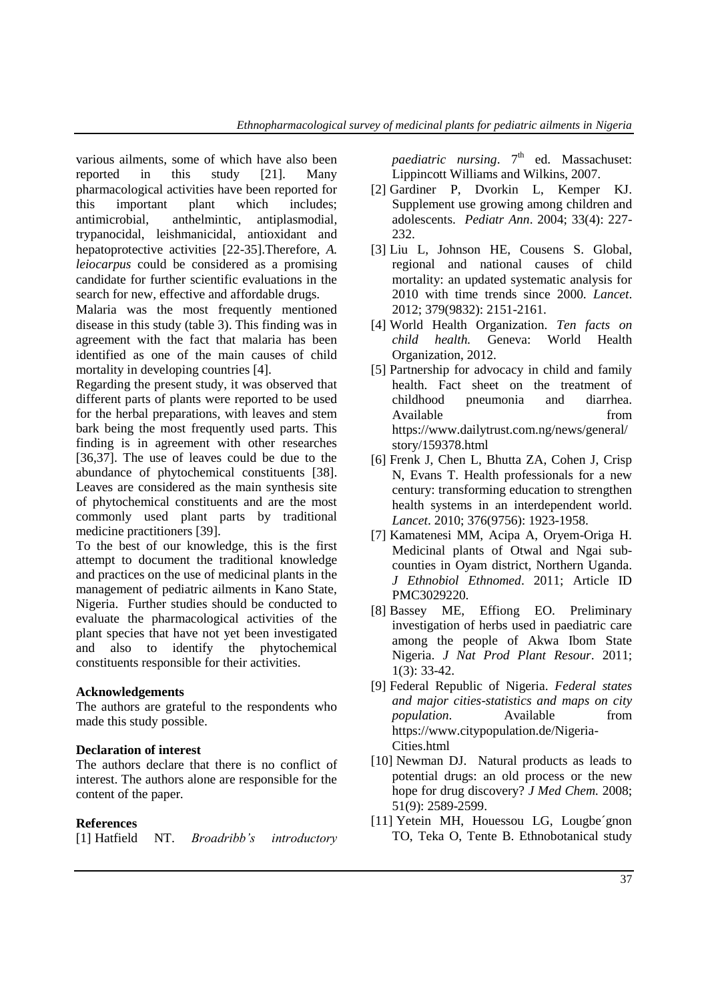various ailments, some of which have also been reported in this study [21]. Many pharmacological activities have been reported for this important plant which includes; antimicrobial, anthelmintic, antiplasmodial, trypanocidal, leishmanicidal, antioxidant and hepatoprotective activities [22-35].Therefore, *A. leiocarpus* could be considered as a promising candidate for further scientific evaluations in the search for new, effective and affordable drugs.

Malaria was the most frequently mentioned disease in this study (table 3). This finding was in agreement with the fact that malaria has been identified as one of the main causes of child mortality in developing countries [4].

Regarding the present study, it was observed that different parts of plants were reported to be used for the herbal preparations, with leaves and stem bark being the most frequently used parts. This finding is in agreement with other researches [36,37]. The use of leaves could be due to the abundance of phytochemical constituents [38]. Leaves are considered as the main synthesis site of phytochemical constituents and are the most commonly used plant parts by traditional medicine practitioners [39].

To the best of our knowledge, this is the first attempt to document the traditional knowledge and practices on the use of medicinal plants in the management of pediatric ailments in Kano State, Nigeria. Further studies should be conducted to evaluate the pharmacological activities of the plant species that have not yet been investigated and also to identify the phytochemical constituents responsible for their activities.

# **Acknowledgements**

The authors are grateful to the respondents who made this study possible.

### **Declaration of interest**

The authors declare that there is no conflict of interest. The authors alone are responsible for the content of the paper.

### **References**

| [1] Hatfield | NT. | <i>Broadribb's</i> | introductory |
|--------------|-----|--------------------|--------------|
|--------------|-----|--------------------|--------------|

paediatric nursing. 7<sup>th</sup> ed. Massachuset: Lippincott Williams and Wilkins, 2007.

- [2] Gardiner P, Dvorkin L, Kemper KJ. Supplement use growing among children and adolescents. *Pediatr Ann*. 2004; 33(4): 227- 232.
- [3] Liu L, Johnson HE, Cousens S. Global, regional and national causes of child mortality: an updated systematic analysis for 2010 with time trends since 2000. *Lancet*. 2012; 379(9832): 2151-2161.
- [4] World Health Organization. *Ten facts on child health.* Geneva: World Health Organization, 2012.
- [5] Partnership for advocacy in child and family health. Fact sheet on the treatment of childhood pneumonia and diarrhea. Available from from https:/[/www.dailytrust.com.](http://www.dailytrust.com/)ng/news/general/ story/159378.html
- [6] Frenk J, Chen L, Bhutta ZA, Cohen J, Crisp N, Evans T. Health professionals for a new century: transforming education to strengthen health systems in an interdependent world. *Lancet*. 2010; 376(9756): 1923-1958.
- [7] Kamatenesi MM, Acipa A, Oryem-Origa H. Medicinal plants of Otwal and Ngai subcounties in Oyam district, Northern Uganda. *J Ethnobiol Ethnomed*. 2011; Article ID PMC3029220.
- [8] Bassey ME, Effiong EO. Preliminary investigation of herbs used in paediatric care among the people of Akwa Ibom State Nigeria. *J Nat Prod Plant Resour*. 2011; 1(3): 33-42.
- [9] Federal Republic of Nigeria. *Federal states and major cities-statistics and maps on city population*. Available from https://www.citypopulation.de/Nigeria-Cities.html
- [10] Newman DJ. Natural products as leads to potential drugs: an old process or the new hope for drug discovery? *J Med Chem.* 2008; 51(9): 2589-2599.
- [11] Yetein MH, Houessou LG, Lougbe´gnon TO, Teka O, Tente B. Ethnobotanical study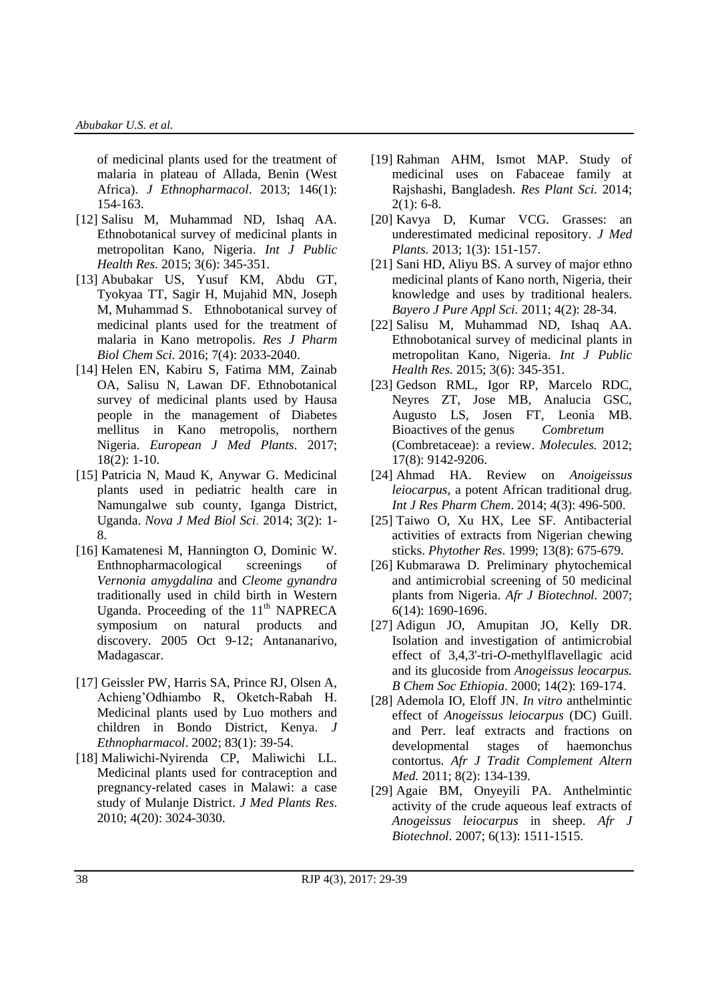of medicinal plants used for the treatment of malaria in plateau of Allada, Benin (West Africa). *J Ethnopharmacol*. 2013; 146(1): 154-163.

- [12] Salisu M, Muhammad ND, Ishaq AA. Ethnobotanical survey of medicinal plants in metropolitan Kano, Nigeria. *Int J Public Health Res.* 2015; 3(6): 345-351.
- [13] Abubakar US, Yusuf KM, Abdu GT, Tyokyaa TT, Sagir H, Mujahid MN, Joseph M, Muhammad S. Ethnobotanical survey of medicinal plants used for the treatment of malaria in Kano metropolis. *Res J Pharm Biol Chem Sci.* 2016; 7(4): 2033-2040.
- [14] Helen EN, Kabiru S, Fatima MM, Zainab OA, Salisu N, Lawan DF. Ethnobotanical survey of medicinal plants used by Hausa people in the management of Diabetes mellitus in Kano metropolis, northern Nigeria. *European J Med Plants*. 2017; 18(2): 1-10.
- [15] Patricia N, Maud K, Anywar G. Medicinal plants used in pediatric health care in Namungalwe sub county, Iganga District, Uganda. *Nova J Med Biol Sci*. 2014; 3(2): 1- 8.
- [16] Kamatenesi M, Hannington O, Dominic W. Enthnopharmacological screenings of *Vernonia amygdalina* and *Cleome gynandra* traditionally used in child birth in Western Uganda. Proceeding of the  $11<sup>th</sup>$  NAPRECA symposium on natural products and discovery. 2005 Oct 9-12; Antananarivo, Madagascar.
- [17] Geissler PW, Harris SA, Prince RJ, Olsen A, Achieng'Odhiambo R, Oketch-Rabah H. Medicinal plants used by Luo mothers and children in Bondo District, Kenya. *J Ethnopharmacol*. 2002; 83(1): 39-54.
- [18] Maliwichi-Nyirenda CP, Maliwichi LL. Medicinal plants used for contraception and pregnancy-related cases in Malawi: a case study of Mulanje District. *J Med Plants Res*. 2010; 4(20): 3024-3030.
- [19] Rahman AHM, Ismot MAP. Study of medicinal uses on Fabaceae family at Rajshashi, Bangladesh. *Res Plant Sci.* 2014;  $2(1): 6-8.$
- [20] Kavya D, Kumar VCG. Grasses: an underestimated medicinal repository. *J Med Plants.* 2013; 1(3): 151-157.
- [21] Sani HD, Aliyu BS. A survey of major ethno medicinal plants of Kano north, Nigeria, their knowledge and uses by traditional healers. *Bayero J Pure Appl Sci.* 2011; 4(2): 28-34.
- [22] Salisu M, Muhammad ND, Ishaq AA. Ethnobotanical survey of medicinal plants in metropolitan Kano, Nigeria. *Int J Public Health Res.* 2015; 3(6): 345-351.
- [23] Gedson RML, Igor RP, Marcelo RDC, Neyres ZT, Jose MB, Analucia GSC, Augusto LS, Josen FT, Leonia MB. Bioactives of the genus *Combretum* (Combretaceae): a review. *Molecules.* 2012; 17(8): 9142-9206.
- [24] Ahmad HA. Review on *Anoigeissus leiocarpus*, a potent African traditional drug. *Int J Res Pharm Chem*. 2014; 4(3): 496-500.
- [25] Taiwo O, Xu HX, Lee SF. Antibacterial activities of extracts from Nigerian chewing sticks. *Phytother Res*. 1999; 13(8): 675-679.
- [26] Kubmarawa D. Preliminary phytochemical and antimicrobial screening of 50 medicinal plants from Nigeria. *Afr J Biotechnol.* 2007; 6(14): 1690-1696.
- [27] Adigun JO, Amupitan JO, Kelly DR. Isolation and investigation of antimicrobial effect of 3,4,3'-tri-*O*-methylflavellagic acid and its glucoside from *Anogeissus leocarpus. B Chem Soc Ethiopia*. 2000; 14(2): 169-174.
- [28] Ademola IO, Eloff JN. *In vitro* anthelmintic effect of *Anogeissus leiocarpus* (DC) Guill. and Perr. leaf extracts and fractions on developmental stages of haemonchus contortus. *Afr J Tradit Complement Altern Med.* 2011; 8(2): 134-139.
- [29] Agaie BM, Onyeyili PA. Anthelmintic activity of the crude aqueous leaf extracts of *Anogeissus leiocarpus* in sheep. *Afr J Biotechnol*. 2007; 6(13): 1511-1515.